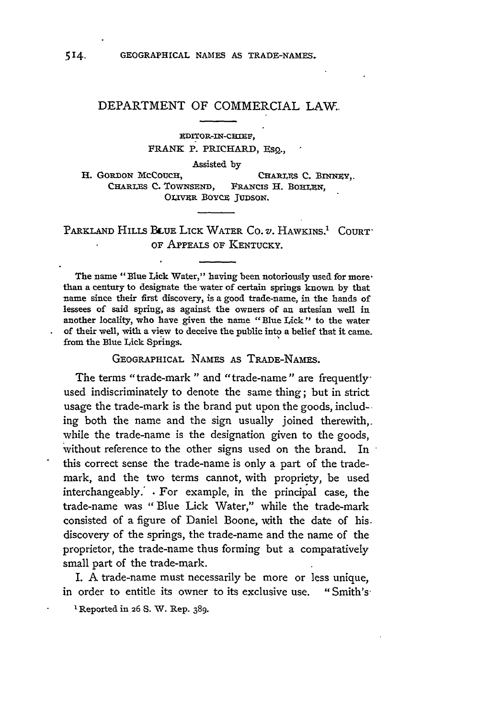## DEPARTMENT OF COMMERCIAL LAW.

**ADITOR-IN-CHIEP, FRANK P. PRICHARD, ESQ.,**

Assisted **by**

H. GORDON MCCOUCH, CHARLES C. BINNEY,. CHARLES C. TOWNSEND, FRANCIS H. BOHLEN, OLIVER BOYCE JUDSON.

PARKLAND HILLS BLUE LICK WATER Co. *v.* HAWKINS.<sup>1</sup> COURT-OF APPEALS **OF KENTUCKY.**

The name "Blue Lick Water," having been notoriously used for more**than** a **century** to designate the water of certain springs **known by** that name since **their** first discovery, is a good trade-name, **in** the hands of lessees of said **spring,** as against the owners of **an** artesian well **in** another locality, who have given the name "Blue Lick" to the water of their well, with a view to deceive the public into a belief that it came. from the Blue Lick Springs.

GEOGRAPHICAL NAMES AS TRADE-NAMES.

The terms "trade-mark" and "trade-name" are frequently used indiscriminately to denote the same thing; but in strict usage the trade-mark is the brand put upon the goods, including both the name and the sign usually joined therewith,. while the trade-name is the designation given to the goods, without reference to the other signs used on the brand. In this correct sense the trade-name is only a part of the trademark, and the two terms cannot, with propriety, be used interchangeably.'. For example, in the principal case, the trade-name was "Blue Lick Water," while the trade-mark consisted of a figure of Daniel Boone, with the date of his. discovery of the springs, the trade-name and the name of the proprietor, the trade-name thus forming but a comparatively small part of the trade-mark.

I. A trade-name must necessarily be more or less unique, in order to entitle its owner to its exclusive use. "Smith's

'Reported **in 26** S. W. Rep. 389.

514.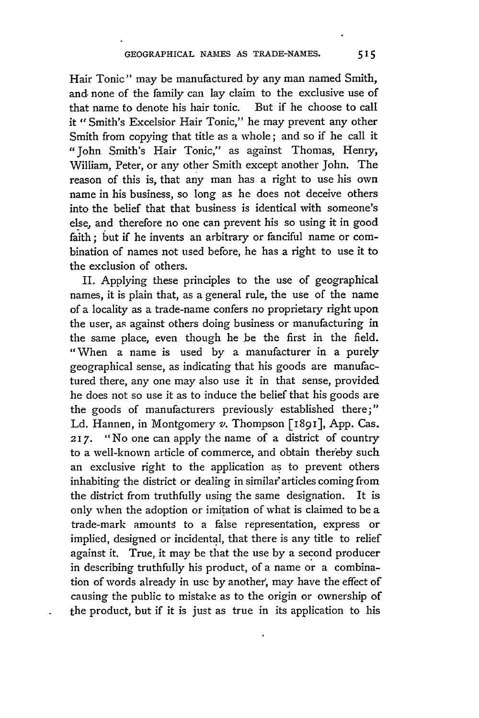Hair Tonic" may be manufactured by any man named Smith, and none of the family can lay claim to the exclusive use of that name to denote his hair tonic. But if he choose to call it "Smith's Excelsior Hair Tonic," he may prevent any other Smith from copying that title as a whole; and so if he call it "John Smith's Hair Tonic," as against Thomas, Henry, William, Peter, or any other Smith except another John. The reason of this is, that any man has a right to use his own name in his business, so long as he does not deceive others into the belief that that business is identical with someone's else, and therefore no one can prevent his so using it in good faith; but if he invents an arbitrary or fanciful name or combination of names not used before, he has a right to use it to the exclusion of others.

II. Applying these principles to the use of geographical names, it is plain that, as a general rule, the use of the name of a locality as a trade-name confers no proprietary right upon the user, as against others doing business or manufacturing in the same place, even though he be the first in the field. "When a name is used by a manufacturer in a purely geographical sense, as indicating that his goods are manufactured there, any one may also use it in that sense, provided he does not so use it as to induce the belief that his goods are the goods of manufacturers previously established there;" Ld. Hannen, in Montgomery v. Thompson [1891], App. Cas. **217.** "No one can apply the name of a district of country to a well-known article of commerce, and obtain thereby such an exclusive right to the application as to prevent others inhabiting the district or dealing in similar' articles coming from the district from truthfully using the same designation. It is only when the adoption or imitation of what is claimed to be a trade-mark amounts to a false representation, express or implied, designed or incidental, that there is any title to relief against it. True, it may be that the use by a second producer in describing truthfully his product, of a name or a combination of words already in use by another, may have the effect of causing the public to mistake as to the origin or ownership of the product, but if it is just as true in its application to his

515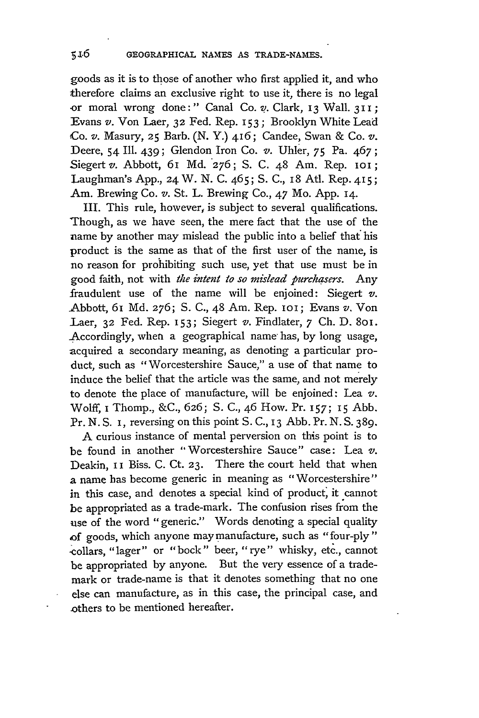goods as it is to those of another who first applied it, and who therefore claims an exclusive right to use it, there is no legal or moral wrong done:" Canal Co. *v.* Clark, **13** Wall. **311;** Evans v. Von Laer, **32** Fed. Rep. **153;** Brooklyn White Lead Co. v. Masury, **25** Barb. **(N.** Y.) 416; Candee, Swan & Co. *v.* Deere, 54 Ill. 439; Glendon Iron Co. *v.* Uhler, 75 Pa. 467; Siegert v. Abbott, 61 Md. 276; S. C. 48 Am. Rep. 101; Laughman's App., 24W. **N. C.** 465; **S. C.,** 18 Atl. Rep. **415;** Am. Brewing Co. *v.* St. L. Brewing Co., 47 Mo. App. 14.

III. This rule, however, is subject to several qualifications. Though, as we have seen, the mere fact that the use of the name by another may mislead the public into a belief that his product is the same as that of the first user of the name, is no reason for prohibiting such use, yet that use must be in good faith, not with *the intent to so mislead purchasers.* Any fraudulent use of the name will be enjoined: Siegert  $v$ . Abbott, 61 Md. 276; **S.** C., 48 Am. Rep. IOI; Evans v. Von Laer, **32** Fed. Rep. **153;** Siegert *v.* Findlater, 7 Ch. D. 8oi. Accordingly, when a geographical name has, by long usage, acquired a secondary meaning, as denoting a particular product, such as "Worcestershire Sauce," a use of that name to induce the belief that the article was the same, and not merely to denote the place of manufacture, will be enjoined: Lea  $v$ . Wolff, I Thomp., &C., 626; **S.** C., 46 How. Pr. 157; **15** Abb. Pr. N. S. I, reversing on this point S. **C.,** 13 Abb. Pr. N. **S.** 389.

**A** curious instance of mental perversion on this point is to be found in another "Worcestershire Sauce" case: Lea  $v$ . Deakin, II Biss. C. Ct. 23. There the court held that when a name has become generic in meaning as "Worcestershire" in this case, and denotes a special kind of product, it cannot be appropriated as a trade-mark. The confusion rises from the use of the word "generic." Words denoting a special quality ,of goods, which anyone may manufacture, such as "four-ply" **.**collars, "lager" or "bock" beer, "rye" whisky, etc., cannot be appropriated by anyone. But the very essence of a trademark or trade-name is that it denotes something that no one else can manufacture, as in this case, the principal case, and ,others to be mentioned hereafter.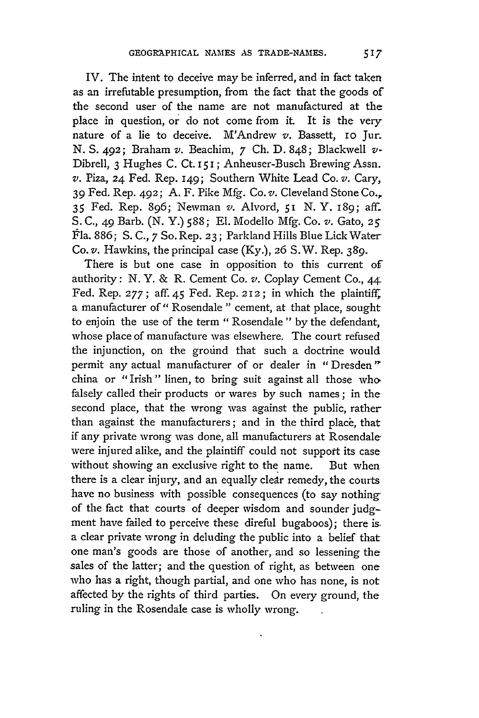IV. The intent to deceive may be inferred, and in fact taken as an irrefutable presumption, from the fact that the goods of the second user of the name are not manufactured at the place in question, or do not come from it. It is the very nature of a lie to deceive. M'Andrew *v.* Bassett, IO Jur. N. S. 492; Braham *v.* Beachim, 7 Ch. D. 848; Blackwell v-Dibrell, 3 Hughes C. Ct. **15** ; Anheuser-Busch Brewing Assn. *v.* Piza, 24 Fed. Rep. 149; Southern White Lead Co. v. Cary, 39 Fed. Rep. 492; A. F. Pike Mfg. Co. *v.* Cleveland Stone Co., 35 Fed. Rep. 896; Newman v. Alvord, 51 N.Y. 189; aff. S. C., 49 Barb. (N. Y.) 588; El. Modello Mfg. Co. *v.* Gato, 25  $F$ la. 886; S. C., 7 So. Rep. 23; Parkland Hills Blue Lick Water Co.  $v$ . Hawkins, the principal case (Ky.), 26 S.W. Rep. 389.

There is but one case in opposition to this current of authority: N. Y. & R. Cement Co. v. Coplay Cement Co., 44 Fed. Rep. *277* **;** aff. 45 Fed. Rep. 212 **;** in which the plaintiff, a manufacturer of "Rosendale" cement, at that place, sought to enjoin the use of the term "Rosendale" by the defendant, whose place of manufacture was elsewhere. The court refused the injunction, on the groind that such a doctrine would permit any actual manufacturer of or dealer in "Dresden *"* china or "Irish" linen, to bring suit against all those who falsely called their products or wares by such names; in the second place, that the wrong was against the public, rather than against the manufacturers; and in the third place, that if any private wrong was done, all manufacturers at Rosendale were injured alike, and the plaintiff could not suppott its case without showing an exclusive right to the name. But when there is a clear injury, and an equally clear remedy, the courts have no business with possible consequences (to say nothingof the fact that courts of deeper wisdom and sounder judgment have failed to perceive these direful bugaboos); there isa clear private wrong in deluding the public into a belief that one man's goods are those of another, and so lessening the sales of the latter; and the question of right, as between one who has a right, though partial, and one who has none, is not affected by the rights of third parties. On every ground, the ruling in the Rosendale case is wholly wrong.

517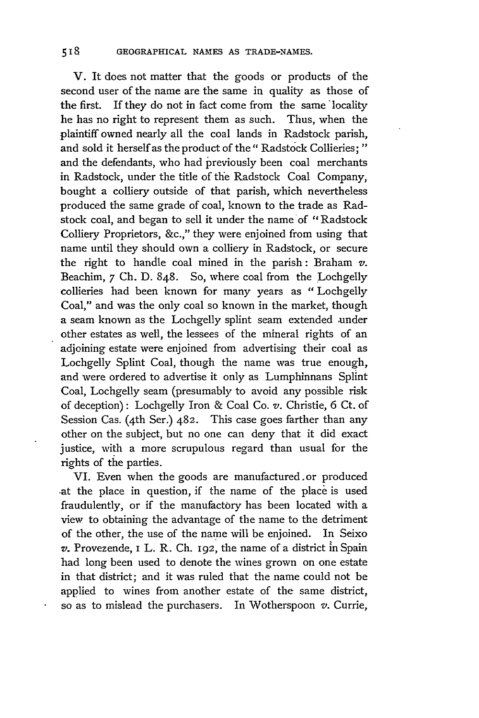V. It does not matter that the goods or products of the second user of the name are the same in quality as those of the first. If they do not in fact come from the same'locality he has no right to represent them as such. Thus, when the plaintiff owned nearly all the coal lands in Radstock parish, and sold it herself as the product of the "Radstock Collieries;" and the defendants, who had previously been coal merchants in Radstock, under the title of the Radstock Coal Company, bought a colliery outside of that parish, which nevertheless produced the same grade of coal, known to the trade as Radstock coal, and began to sell it under the name of "Radstock Colliery Proprietors, &c.," they were enjoined from using that name until they should own a colliery in Radstock, or secure the right to handle coal mined in the parish: Braham  $v$ . Beachim, 7 Ch. D. 848. So, where coal from the Lochgelly collieries had been known for many years as " Lochgelly Coal," and was the only coal so known in the market, though a seam known as the Lochgelly splint seam extended under other estates as well, the lessees of the mineral rights of an adjoining estate were enjoined from advertising their coal as Lochgelly Splint Coal, though the name was true enough, and were ordered to advertise it only as Lumphinnans Splint Coal, Lochgelly seam (presumably to avoid any possible risk of deception): Lochgelly Iron & Coal Co. *v.* Christie, 6 Ct. of Session Cas. (4th Ser.) 482. This case goes farther than any other on the subject, but no one can deny that it did exact justice, with a more scrupulous regard than usual for the rights of the parties.

VI. Even when the goods are manufactured.or produced at the place in question, if the name of the place is used fraudulently, or if the manufactory has been located with a view to obtaining the advantage of the name to the detriment of the other, the use of the name will be enjoined. In Seixo *v.* Provezende, I L. R. Ch. **192,** the name of a district in Spain had long been used to denote the wines grown on one estate in that district; and it was ruled that the name could not be applied to wines from another estate of the same district, so as to mislead the purchasers. In Wotherspoon  $v$ . Currie,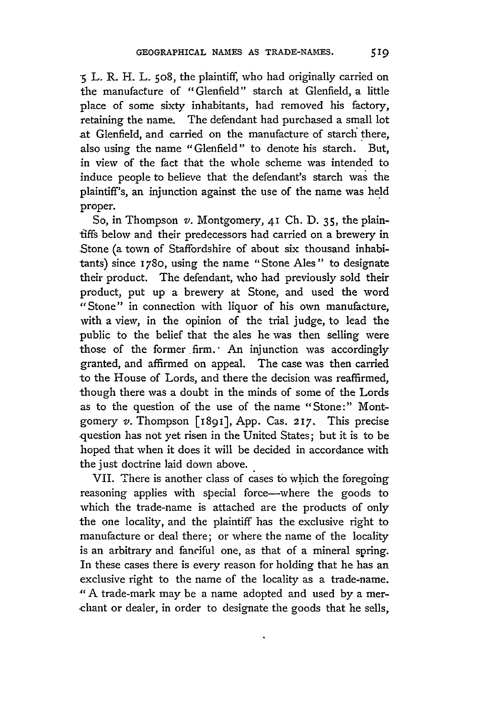**-5** L. R. H. L. 5o8, the plaintiff, who had originally carried on the manufacture of "Glenfield" starch at Glenfield, a little place of some sixty inhabitants, had removed his factory, retaining the name. The defendant had purchased a small lot at Glenfield, and carried on the manufacture of starch there, also using the name "Glenfield" to denote his starch. But, in view of the fact that the whole scheme was intended to induce people to believe that the defendant's starch was the plaintiff's, an injunction against the use of the name was held proper.

So, in Thompson *v.* Montgomery, 41 Ch. D. **35,** the plaintiffs below and their predecessors had carried on a brewery in Stone (a town of Staffordshire of about six thousand inhabitants) since 1780, using the name "Stone Ales" to designate their product. The defendant, who had previously sold their product, put up a brewery at Stone, and used the word "Stone" in connection with liquor of his own manufacture, with a view, in the opinion of the trial judge, to lead the public to the belief that the ales he was then selling were those of the former firm." An injunction was accordingly granted, and affirmed on appeal. The case was then carried to the House of Lords, and there the decision was reaffirmed, though there was a doubt in the minds of some of the Lords as to the question of the use of the name "Stone:" Montgomery v. Thompson [I89I], App. Cas. 217. This precise ,question has not yet risen in the United States; but it is to be hoped that when it does it will be decided in accordance with the just doctrine laid down above.

VII. There is another class of cases to which the foregoing reasoning applies with special force--where the goods to which the trade-name is attached are the products of only the one locality, and the plaintiff has the exclusive right to manufacture or deal there; or where the name of the locality is an arbitrary and fanciful one, as that of a mineral spring. In these cases there is every reason for holding that he has an exclusive right to the name of the locality as a trade-name. *'* A trade-mark may be a name adopted and used by a mer- -chant or dealer, in order to designate the goods that he sells,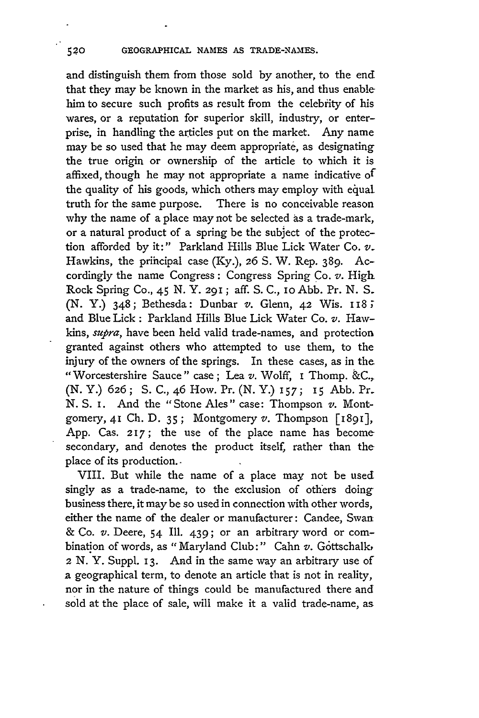and distinguish them from those sold by another, to the end that they may be known in the market as his, and thus enable him to secure such profits as result from the celebrity of his wares, or a reputation for superior skill, industry, or enterprise, in handling the articles put on the market. Any name may be so used that he may deem appropriate, as designating the true origin or ownership of the article to which it is affixed, though he may not appropriate a name indicative of the quality of his goods, which others may employ with equal truth for the same purpose. There is no conceivable reason why the name of a place may not be selected as a trade-mark, or a natural product of a spring be the subject of the protection afforded by it:" Parkland Hills Blue Lick Water Co. *v.* Hawkins, the prihcipal case (Ky.), 26 **S.** W. Rep. 389. Accordingly the name Congress: Congress Spring Co. *v.* High Rock Spring Co., 45 N. Y. 29 **1;** aff. S. C., Io Abb. Pr. N. S. (N. Y.) 348; Bethesda: Dunbar *v.* Glenn, 42 Wis. **118;** and Blue Lick: Parkland Hills Blue Lick Water Co. v. Hawkins, *supra,* have been held valid trade-names, and protection granted against others who attempted to use them, to the injury of the owners of the springs. In these cases, as in the "Worcestershire Sauce" case; Lea *v.* Wolff, I Thomp. &C., (N. Y.) 626; S.C., 46 How. Pr. (N. Y.) i57; 15 Abb. Pr. N. S. I. And the "Stone Ales" case: Thompson v. Montgomery, **41** Ch. D. 35; Montgomery *v.* Thompson [i89i], App. Cas. 217; the use of the place name has become secondary, and denotes the product itself, rather than the place of its production..

VIII. But while the name of a place may not be used singly as a trade-name, to the exclusion of others doing business there, it may be so used in connection with other words, either the name of the dealer or manufacturer: Candee, Swan & Co. *v.* Deere, 54 Ill. 439; or an arbitrary word or combination of words, as "Maryland Club:" Cahn v. Gottschalk, **2** N. Y. Suppl. **13.** And in the same way an arbitrary use of a geographical term, to denote an article that is not in reality, nor in the nature of things could be manufactured there and sold at the place of sale, will make it a valid trade-name, as